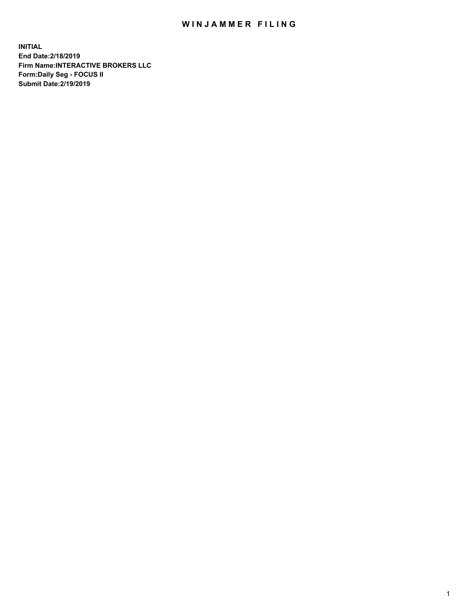## WIN JAMMER FILING

**INITIAL End Date:2/18/2019 Firm Name:INTERACTIVE BROKERS LLC Form:Daily Seg - FOCUS II Submit Date:2/19/2019**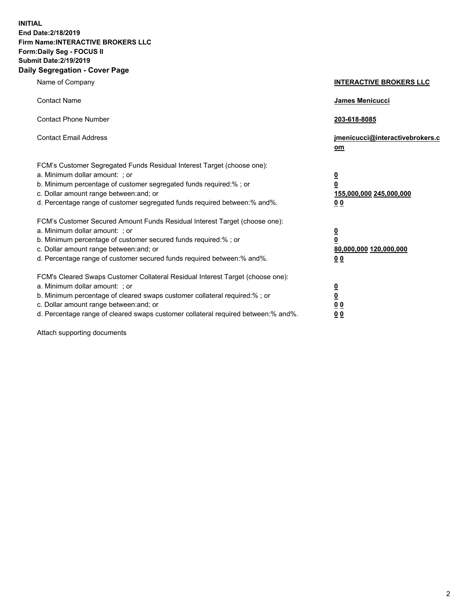**INITIAL End Date:2/18/2019 Firm Name:INTERACTIVE BROKERS LLC Form:Daily Seg - FOCUS II Submit Date:2/19/2019 Daily Segregation - Cover Page**

| Name of Company                                                                                                                                                                                                                                                                                                                | <b>INTERACTIVE BROKERS LLC</b>                                                                  |
|--------------------------------------------------------------------------------------------------------------------------------------------------------------------------------------------------------------------------------------------------------------------------------------------------------------------------------|-------------------------------------------------------------------------------------------------|
| <b>Contact Name</b>                                                                                                                                                                                                                                                                                                            | James Menicucci                                                                                 |
| <b>Contact Phone Number</b>                                                                                                                                                                                                                                                                                                    | 203-618-8085                                                                                    |
| <b>Contact Email Address</b>                                                                                                                                                                                                                                                                                                   | jmenicucci@interactivebrokers.c<br>om                                                           |
| FCM's Customer Segregated Funds Residual Interest Target (choose one):<br>a. Minimum dollar amount: ; or<br>b. Minimum percentage of customer segregated funds required:% ; or<br>c. Dollar amount range between: and; or<br>d. Percentage range of customer segregated funds required between:% and%.                         | $\overline{\mathbf{0}}$<br>$\overline{\mathbf{0}}$<br>155,000,000 245,000,000<br>0 <sub>0</sub> |
| FCM's Customer Secured Amount Funds Residual Interest Target (choose one):<br>a. Minimum dollar amount: ; or<br>b. Minimum percentage of customer secured funds required:% ; or<br>c. Dollar amount range between: and; or<br>d. Percentage range of customer secured funds required between:% and%.                           | $\overline{\mathbf{0}}$<br>0<br>80,000,000 120,000,000<br>0 <sub>0</sub>                        |
| FCM's Cleared Swaps Customer Collateral Residual Interest Target (choose one):<br>a. Minimum dollar amount: ; or<br>b. Minimum percentage of cleared swaps customer collateral required:% ; or<br>c. Dollar amount range between: and; or<br>d. Percentage range of cleared swaps customer collateral required between:% and%. | $\overline{\mathbf{0}}$<br><u>0</u><br>$\underline{0}$ $\underline{0}$<br>00                    |

Attach supporting documents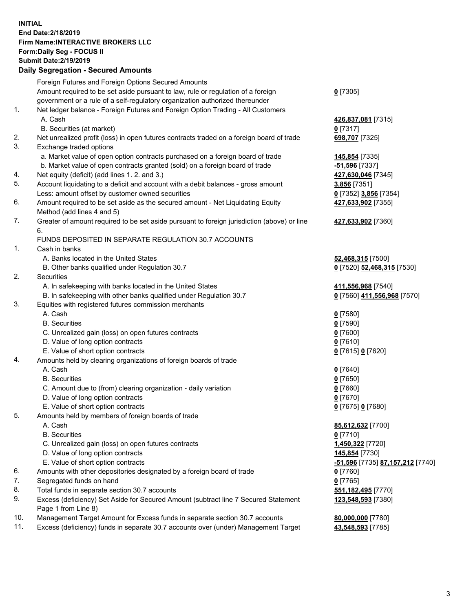## **INITIAL End Date:2/18/2019 Firm Name:INTERACTIVE BROKERS LLC Form:Daily Seg - FOCUS II Submit Date:2/19/2019 Daily Segregation - Secured Amounts**

| Daily Segregation - Secured Amounts                                              |                                                                                                                                                                                                                                                                                                                                                                                                                                                                                                                                                                                                                                                                                                                                                                                                                                                                                                                                                                                                                                                                                                                                                                                                                                                                                                                                                                                                                                                                                                                                                                                                                                                                                                                                                                                                                                                                                                                                                                                                                                                                                                                                                                                                                                                                                                                                                                                         |
|----------------------------------------------------------------------------------|-----------------------------------------------------------------------------------------------------------------------------------------------------------------------------------------------------------------------------------------------------------------------------------------------------------------------------------------------------------------------------------------------------------------------------------------------------------------------------------------------------------------------------------------------------------------------------------------------------------------------------------------------------------------------------------------------------------------------------------------------------------------------------------------------------------------------------------------------------------------------------------------------------------------------------------------------------------------------------------------------------------------------------------------------------------------------------------------------------------------------------------------------------------------------------------------------------------------------------------------------------------------------------------------------------------------------------------------------------------------------------------------------------------------------------------------------------------------------------------------------------------------------------------------------------------------------------------------------------------------------------------------------------------------------------------------------------------------------------------------------------------------------------------------------------------------------------------------------------------------------------------------------------------------------------------------------------------------------------------------------------------------------------------------------------------------------------------------------------------------------------------------------------------------------------------------------------------------------------------------------------------------------------------------------------------------------------------------------------------------------------------------|
| Foreign Futures and Foreign Options Secured Amounts                              |                                                                                                                                                                                                                                                                                                                                                                                                                                                                                                                                                                                                                                                                                                                                                                                                                                                                                                                                                                                                                                                                                                                                                                                                                                                                                                                                                                                                                                                                                                                                                                                                                                                                                                                                                                                                                                                                                                                                                                                                                                                                                                                                                                                                                                                                                                                                                                                         |
| Amount required to be set aside pursuant to law, rule or regulation of a foreign | $0$ [7305]                                                                                                                                                                                                                                                                                                                                                                                                                                                                                                                                                                                                                                                                                                                                                                                                                                                                                                                                                                                                                                                                                                                                                                                                                                                                                                                                                                                                                                                                                                                                                                                                                                                                                                                                                                                                                                                                                                                                                                                                                                                                                                                                                                                                                                                                                                                                                                              |
|                                                                                  |                                                                                                                                                                                                                                                                                                                                                                                                                                                                                                                                                                                                                                                                                                                                                                                                                                                                                                                                                                                                                                                                                                                                                                                                                                                                                                                                                                                                                                                                                                                                                                                                                                                                                                                                                                                                                                                                                                                                                                                                                                                                                                                                                                                                                                                                                                                                                                                         |
|                                                                                  |                                                                                                                                                                                                                                                                                                                                                                                                                                                                                                                                                                                                                                                                                                                                                                                                                                                                                                                                                                                                                                                                                                                                                                                                                                                                                                                                                                                                                                                                                                                                                                                                                                                                                                                                                                                                                                                                                                                                                                                                                                                                                                                                                                                                                                                                                                                                                                                         |
|                                                                                  | 426,837,081 [7315]                                                                                                                                                                                                                                                                                                                                                                                                                                                                                                                                                                                                                                                                                                                                                                                                                                                                                                                                                                                                                                                                                                                                                                                                                                                                                                                                                                                                                                                                                                                                                                                                                                                                                                                                                                                                                                                                                                                                                                                                                                                                                                                                                                                                                                                                                                                                                                      |
|                                                                                  | $0$ [7317]                                                                                                                                                                                                                                                                                                                                                                                                                                                                                                                                                                                                                                                                                                                                                                                                                                                                                                                                                                                                                                                                                                                                                                                                                                                                                                                                                                                                                                                                                                                                                                                                                                                                                                                                                                                                                                                                                                                                                                                                                                                                                                                                                                                                                                                                                                                                                                              |
|                                                                                  | 698,707 [7325]                                                                                                                                                                                                                                                                                                                                                                                                                                                                                                                                                                                                                                                                                                                                                                                                                                                                                                                                                                                                                                                                                                                                                                                                                                                                                                                                                                                                                                                                                                                                                                                                                                                                                                                                                                                                                                                                                                                                                                                                                                                                                                                                                                                                                                                                                                                                                                          |
|                                                                                  |                                                                                                                                                                                                                                                                                                                                                                                                                                                                                                                                                                                                                                                                                                                                                                                                                                                                                                                                                                                                                                                                                                                                                                                                                                                                                                                                                                                                                                                                                                                                                                                                                                                                                                                                                                                                                                                                                                                                                                                                                                                                                                                                                                                                                                                                                                                                                                                         |
|                                                                                  | 145,854 [7335]                                                                                                                                                                                                                                                                                                                                                                                                                                                                                                                                                                                                                                                                                                                                                                                                                                                                                                                                                                                                                                                                                                                                                                                                                                                                                                                                                                                                                                                                                                                                                                                                                                                                                                                                                                                                                                                                                                                                                                                                                                                                                                                                                                                                                                                                                                                                                                          |
|                                                                                  | -51,596 <sup>[7337]</sup>                                                                                                                                                                                                                                                                                                                                                                                                                                                                                                                                                                                                                                                                                                                                                                                                                                                                                                                                                                                                                                                                                                                                                                                                                                                                                                                                                                                                                                                                                                                                                                                                                                                                                                                                                                                                                                                                                                                                                                                                                                                                                                                                                                                                                                                                                                                                                               |
|                                                                                  | 427,630,046 [7345]                                                                                                                                                                                                                                                                                                                                                                                                                                                                                                                                                                                                                                                                                                                                                                                                                                                                                                                                                                                                                                                                                                                                                                                                                                                                                                                                                                                                                                                                                                                                                                                                                                                                                                                                                                                                                                                                                                                                                                                                                                                                                                                                                                                                                                                                                                                                                                      |
|                                                                                  | 3,856 [7351]                                                                                                                                                                                                                                                                                                                                                                                                                                                                                                                                                                                                                                                                                                                                                                                                                                                                                                                                                                                                                                                                                                                                                                                                                                                                                                                                                                                                                                                                                                                                                                                                                                                                                                                                                                                                                                                                                                                                                                                                                                                                                                                                                                                                                                                                                                                                                                            |
|                                                                                  | 0 [7352] 3,856 [7354]                                                                                                                                                                                                                                                                                                                                                                                                                                                                                                                                                                                                                                                                                                                                                                                                                                                                                                                                                                                                                                                                                                                                                                                                                                                                                                                                                                                                                                                                                                                                                                                                                                                                                                                                                                                                                                                                                                                                                                                                                                                                                                                                                                                                                                                                                                                                                                   |
|                                                                                  | 427,633,902 [7355]                                                                                                                                                                                                                                                                                                                                                                                                                                                                                                                                                                                                                                                                                                                                                                                                                                                                                                                                                                                                                                                                                                                                                                                                                                                                                                                                                                                                                                                                                                                                                                                                                                                                                                                                                                                                                                                                                                                                                                                                                                                                                                                                                                                                                                                                                                                                                                      |
|                                                                                  |                                                                                                                                                                                                                                                                                                                                                                                                                                                                                                                                                                                                                                                                                                                                                                                                                                                                                                                                                                                                                                                                                                                                                                                                                                                                                                                                                                                                                                                                                                                                                                                                                                                                                                                                                                                                                                                                                                                                                                                                                                                                                                                                                                                                                                                                                                                                                                                         |
|                                                                                  | 427,633,902 [7360]                                                                                                                                                                                                                                                                                                                                                                                                                                                                                                                                                                                                                                                                                                                                                                                                                                                                                                                                                                                                                                                                                                                                                                                                                                                                                                                                                                                                                                                                                                                                                                                                                                                                                                                                                                                                                                                                                                                                                                                                                                                                                                                                                                                                                                                                                                                                                                      |
| 6.                                                                               |                                                                                                                                                                                                                                                                                                                                                                                                                                                                                                                                                                                                                                                                                                                                                                                                                                                                                                                                                                                                                                                                                                                                                                                                                                                                                                                                                                                                                                                                                                                                                                                                                                                                                                                                                                                                                                                                                                                                                                                                                                                                                                                                                                                                                                                                                                                                                                                         |
|                                                                                  |                                                                                                                                                                                                                                                                                                                                                                                                                                                                                                                                                                                                                                                                                                                                                                                                                                                                                                                                                                                                                                                                                                                                                                                                                                                                                                                                                                                                                                                                                                                                                                                                                                                                                                                                                                                                                                                                                                                                                                                                                                                                                                                                                                                                                                                                                                                                                                                         |
|                                                                                  |                                                                                                                                                                                                                                                                                                                                                                                                                                                                                                                                                                                                                                                                                                                                                                                                                                                                                                                                                                                                                                                                                                                                                                                                                                                                                                                                                                                                                                                                                                                                                                                                                                                                                                                                                                                                                                                                                                                                                                                                                                                                                                                                                                                                                                                                                                                                                                                         |
|                                                                                  | 52,468,315 [7500]                                                                                                                                                                                                                                                                                                                                                                                                                                                                                                                                                                                                                                                                                                                                                                                                                                                                                                                                                                                                                                                                                                                                                                                                                                                                                                                                                                                                                                                                                                                                                                                                                                                                                                                                                                                                                                                                                                                                                                                                                                                                                                                                                                                                                                                                                                                                                                       |
|                                                                                  | 0 [7520] 52,468,315 [7530]                                                                                                                                                                                                                                                                                                                                                                                                                                                                                                                                                                                                                                                                                                                                                                                                                                                                                                                                                                                                                                                                                                                                                                                                                                                                                                                                                                                                                                                                                                                                                                                                                                                                                                                                                                                                                                                                                                                                                                                                                                                                                                                                                                                                                                                                                                                                                              |
|                                                                                  |                                                                                                                                                                                                                                                                                                                                                                                                                                                                                                                                                                                                                                                                                                                                                                                                                                                                                                                                                                                                                                                                                                                                                                                                                                                                                                                                                                                                                                                                                                                                                                                                                                                                                                                                                                                                                                                                                                                                                                                                                                                                                                                                                                                                                                                                                                                                                                                         |
|                                                                                  | 411,556,968 [7540]                                                                                                                                                                                                                                                                                                                                                                                                                                                                                                                                                                                                                                                                                                                                                                                                                                                                                                                                                                                                                                                                                                                                                                                                                                                                                                                                                                                                                                                                                                                                                                                                                                                                                                                                                                                                                                                                                                                                                                                                                                                                                                                                                                                                                                                                                                                                                                      |
|                                                                                  | 0 [7560] 411,556,968 [7570]                                                                                                                                                                                                                                                                                                                                                                                                                                                                                                                                                                                                                                                                                                                                                                                                                                                                                                                                                                                                                                                                                                                                                                                                                                                                                                                                                                                                                                                                                                                                                                                                                                                                                                                                                                                                                                                                                                                                                                                                                                                                                                                                                                                                                                                                                                                                                             |
|                                                                                  |                                                                                                                                                                                                                                                                                                                                                                                                                                                                                                                                                                                                                                                                                                                                                                                                                                                                                                                                                                                                                                                                                                                                                                                                                                                                                                                                                                                                                                                                                                                                                                                                                                                                                                                                                                                                                                                                                                                                                                                                                                                                                                                                                                                                                                                                                                                                                                                         |
|                                                                                  | $0$ [7580]                                                                                                                                                                                                                                                                                                                                                                                                                                                                                                                                                                                                                                                                                                                                                                                                                                                                                                                                                                                                                                                                                                                                                                                                                                                                                                                                                                                                                                                                                                                                                                                                                                                                                                                                                                                                                                                                                                                                                                                                                                                                                                                                                                                                                                                                                                                                                                              |
|                                                                                  | $0$ [7590]                                                                                                                                                                                                                                                                                                                                                                                                                                                                                                                                                                                                                                                                                                                                                                                                                                                                                                                                                                                                                                                                                                                                                                                                                                                                                                                                                                                                                                                                                                                                                                                                                                                                                                                                                                                                                                                                                                                                                                                                                                                                                                                                                                                                                                                                                                                                                                              |
|                                                                                  | $0$ [7600]                                                                                                                                                                                                                                                                                                                                                                                                                                                                                                                                                                                                                                                                                                                                                                                                                                                                                                                                                                                                                                                                                                                                                                                                                                                                                                                                                                                                                                                                                                                                                                                                                                                                                                                                                                                                                                                                                                                                                                                                                                                                                                                                                                                                                                                                                                                                                                              |
|                                                                                  | $0$ [7610]                                                                                                                                                                                                                                                                                                                                                                                                                                                                                                                                                                                                                                                                                                                                                                                                                                                                                                                                                                                                                                                                                                                                                                                                                                                                                                                                                                                                                                                                                                                                                                                                                                                                                                                                                                                                                                                                                                                                                                                                                                                                                                                                                                                                                                                                                                                                                                              |
|                                                                                  | 0 [7615] 0 [7620]                                                                                                                                                                                                                                                                                                                                                                                                                                                                                                                                                                                                                                                                                                                                                                                                                                                                                                                                                                                                                                                                                                                                                                                                                                                                                                                                                                                                                                                                                                                                                                                                                                                                                                                                                                                                                                                                                                                                                                                                                                                                                                                                                                                                                                                                                                                                                                       |
|                                                                                  |                                                                                                                                                                                                                                                                                                                                                                                                                                                                                                                                                                                                                                                                                                                                                                                                                                                                                                                                                                                                                                                                                                                                                                                                                                                                                                                                                                                                                                                                                                                                                                                                                                                                                                                                                                                                                                                                                                                                                                                                                                                                                                                                                                                                                                                                                                                                                                                         |
|                                                                                  | $0$ [7640]                                                                                                                                                                                                                                                                                                                                                                                                                                                                                                                                                                                                                                                                                                                                                                                                                                                                                                                                                                                                                                                                                                                                                                                                                                                                                                                                                                                                                                                                                                                                                                                                                                                                                                                                                                                                                                                                                                                                                                                                                                                                                                                                                                                                                                                                                                                                                                              |
|                                                                                  | $0$ [7650]                                                                                                                                                                                                                                                                                                                                                                                                                                                                                                                                                                                                                                                                                                                                                                                                                                                                                                                                                                                                                                                                                                                                                                                                                                                                                                                                                                                                                                                                                                                                                                                                                                                                                                                                                                                                                                                                                                                                                                                                                                                                                                                                                                                                                                                                                                                                                                              |
|                                                                                  | $0$ [7660]                                                                                                                                                                                                                                                                                                                                                                                                                                                                                                                                                                                                                                                                                                                                                                                                                                                                                                                                                                                                                                                                                                                                                                                                                                                                                                                                                                                                                                                                                                                                                                                                                                                                                                                                                                                                                                                                                                                                                                                                                                                                                                                                                                                                                                                                                                                                                                              |
|                                                                                  | $0$ [7670]                                                                                                                                                                                                                                                                                                                                                                                                                                                                                                                                                                                                                                                                                                                                                                                                                                                                                                                                                                                                                                                                                                                                                                                                                                                                                                                                                                                                                                                                                                                                                                                                                                                                                                                                                                                                                                                                                                                                                                                                                                                                                                                                                                                                                                                                                                                                                                              |
|                                                                                  | 0 [7675] 0 [7680]                                                                                                                                                                                                                                                                                                                                                                                                                                                                                                                                                                                                                                                                                                                                                                                                                                                                                                                                                                                                                                                                                                                                                                                                                                                                                                                                                                                                                                                                                                                                                                                                                                                                                                                                                                                                                                                                                                                                                                                                                                                                                                                                                                                                                                                                                                                                                                       |
|                                                                                  |                                                                                                                                                                                                                                                                                                                                                                                                                                                                                                                                                                                                                                                                                                                                                                                                                                                                                                                                                                                                                                                                                                                                                                                                                                                                                                                                                                                                                                                                                                                                                                                                                                                                                                                                                                                                                                                                                                                                                                                                                                                                                                                                                                                                                                                                                                                                                                                         |
|                                                                                  | 85,612,632 [7700]                                                                                                                                                                                                                                                                                                                                                                                                                                                                                                                                                                                                                                                                                                                                                                                                                                                                                                                                                                                                                                                                                                                                                                                                                                                                                                                                                                                                                                                                                                                                                                                                                                                                                                                                                                                                                                                                                                                                                                                                                                                                                                                                                                                                                                                                                                                                                                       |
|                                                                                  | $0$ [7710]                                                                                                                                                                                                                                                                                                                                                                                                                                                                                                                                                                                                                                                                                                                                                                                                                                                                                                                                                                                                                                                                                                                                                                                                                                                                                                                                                                                                                                                                                                                                                                                                                                                                                                                                                                                                                                                                                                                                                                                                                                                                                                                                                                                                                                                                                                                                                                              |
|                                                                                  | 1,450,322 [7720]                                                                                                                                                                                                                                                                                                                                                                                                                                                                                                                                                                                                                                                                                                                                                                                                                                                                                                                                                                                                                                                                                                                                                                                                                                                                                                                                                                                                                                                                                                                                                                                                                                                                                                                                                                                                                                                                                                                                                                                                                                                                                                                                                                                                                                                                                                                                                                        |
|                                                                                  | 145,854 [7730]                                                                                                                                                                                                                                                                                                                                                                                                                                                                                                                                                                                                                                                                                                                                                                                                                                                                                                                                                                                                                                                                                                                                                                                                                                                                                                                                                                                                                                                                                                                                                                                                                                                                                                                                                                                                                                                                                                                                                                                                                                                                                                                                                                                                                                                                                                                                                                          |
|                                                                                  | <u>-51,596</u> [7735] <u>87,157,212</u> [7740]                                                                                                                                                                                                                                                                                                                                                                                                                                                                                                                                                                                                                                                                                                                                                                                                                                                                                                                                                                                                                                                                                                                                                                                                                                                                                                                                                                                                                                                                                                                                                                                                                                                                                                                                                                                                                                                                                                                                                                                                                                                                                                                                                                                                                                                                                                                                          |
|                                                                                  | 0 [7760]                                                                                                                                                                                                                                                                                                                                                                                                                                                                                                                                                                                                                                                                                                                                                                                                                                                                                                                                                                                                                                                                                                                                                                                                                                                                                                                                                                                                                                                                                                                                                                                                                                                                                                                                                                                                                                                                                                                                                                                                                                                                                                                                                                                                                                                                                                                                                                                |
|                                                                                  | $0$ [7765]                                                                                                                                                                                                                                                                                                                                                                                                                                                                                                                                                                                                                                                                                                                                                                                                                                                                                                                                                                                                                                                                                                                                                                                                                                                                                                                                                                                                                                                                                                                                                                                                                                                                                                                                                                                                                                                                                                                                                                                                                                                                                                                                                                                                                                                                                                                                                                              |
|                                                                                  | 551,182,495 [7770]                                                                                                                                                                                                                                                                                                                                                                                                                                                                                                                                                                                                                                                                                                                                                                                                                                                                                                                                                                                                                                                                                                                                                                                                                                                                                                                                                                                                                                                                                                                                                                                                                                                                                                                                                                                                                                                                                                                                                                                                                                                                                                                                                                                                                                                                                                                                                                      |
|                                                                                  | 123,548,593 [7380]                                                                                                                                                                                                                                                                                                                                                                                                                                                                                                                                                                                                                                                                                                                                                                                                                                                                                                                                                                                                                                                                                                                                                                                                                                                                                                                                                                                                                                                                                                                                                                                                                                                                                                                                                                                                                                                                                                                                                                                                                                                                                                                                                                                                                                                                                                                                                                      |
|                                                                                  |                                                                                                                                                                                                                                                                                                                                                                                                                                                                                                                                                                                                                                                                                                                                                                                                                                                                                                                                                                                                                                                                                                                                                                                                                                                                                                                                                                                                                                                                                                                                                                                                                                                                                                                                                                                                                                                                                                                                                                                                                                                                                                                                                                                                                                                                                                                                                                                         |
|                                                                                  | 80,000,000 [7780]                                                                                                                                                                                                                                                                                                                                                                                                                                                                                                                                                                                                                                                                                                                                                                                                                                                                                                                                                                                                                                                                                                                                                                                                                                                                                                                                                                                                                                                                                                                                                                                                                                                                                                                                                                                                                                                                                                                                                                                                                                                                                                                                                                                                                                                                                                                                                                       |
|                                                                                  | 43,548,593 [7785]                                                                                                                                                                                                                                                                                                                                                                                                                                                                                                                                                                                                                                                                                                                                                                                                                                                                                                                                                                                                                                                                                                                                                                                                                                                                                                                                                                                                                                                                                                                                                                                                                                                                                                                                                                                                                                                                                                                                                                                                                                                                                                                                                                                                                                                                                                                                                                       |
|                                                                                  | government or a rule of a self-regulatory organization authorized thereunder<br>Net ledger balance - Foreign Futures and Foreign Option Trading - All Customers<br>A. Cash<br>B. Securities (at market)<br>Net unrealized profit (loss) in open futures contracts traded on a foreign board of trade<br>Exchange traded options<br>a. Market value of open option contracts purchased on a foreign board of trade<br>b. Market value of open contracts granted (sold) on a foreign board of trade<br>Net equity (deficit) (add lines 1.2. and 3.)<br>Account liquidating to a deficit and account with a debit balances - gross amount<br>Less: amount offset by customer owned securities<br>Amount required to be set aside as the secured amount - Net Liquidating Equity<br>Method (add lines 4 and 5)<br>Greater of amount required to be set aside pursuant to foreign jurisdiction (above) or line<br>FUNDS DEPOSITED IN SEPARATE REGULATION 30.7 ACCOUNTS<br>Cash in banks<br>A. Banks located in the United States<br>B. Other banks qualified under Regulation 30.7<br>Securities<br>A. In safekeeping with banks located in the United States<br>B. In safekeeping with other banks qualified under Regulation 30.7<br>Equities with registered futures commission merchants<br>A. Cash<br><b>B.</b> Securities<br>C. Unrealized gain (loss) on open futures contracts<br>D. Value of long option contracts<br>E. Value of short option contracts<br>Amounts held by clearing organizations of foreign boards of trade<br>A. Cash<br><b>B.</b> Securities<br>C. Amount due to (from) clearing organization - daily variation<br>D. Value of long option contracts<br>E. Value of short option contracts<br>Amounts held by members of foreign boards of trade<br>A. Cash<br><b>B.</b> Securities<br>C. Unrealized gain (loss) on open futures contracts<br>D. Value of long option contracts<br>E. Value of short option contracts<br>Amounts with other depositories designated by a foreign board of trade<br>Segregated funds on hand<br>Total funds in separate section 30.7 accounts<br>Excess (deficiency) Set Aside for Secured Amount (subtract line 7 Secured Statement<br>Page 1 from Line 8)<br>Management Target Amount for Excess funds in separate section 30.7 accounts<br>Excess (deficiency) funds in separate 30.7 accounts over (under) Management Target |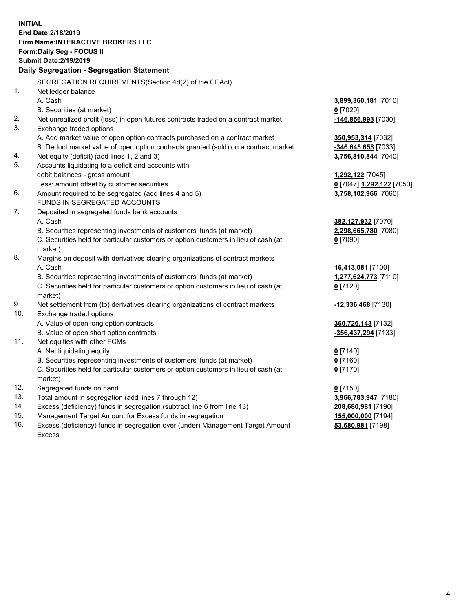**INITIAL End Date:2/18/2019 Firm Name:INTERACTIVE BROKERS LLC Form:Daily Seg - FOCUS II Submit Date:2/19/2019 Daily Segregation - Segregation Statement** SEGREGATION REQUIREMENTS(Section 4d(2) of the CEAct) 1. Net ledger balance A. Cash **3,899,360,181** [7010] B. Securities (at market) **0** [7020] 2. Net unrealized profit (loss) in open futures contracts traded on a contract market **-146,856,993** [7030] 3. Exchange traded options A. Add market value of open option contracts purchased on a contract market **350,953,314** [7032] B. Deduct market value of open option contracts granted (sold) on a contract market **-346,645,658** [7033] 4. Net equity (deficit) (add lines 1, 2 and 3) **3,756,810,844** [7040] 5. Accounts liquidating to a deficit and accounts with debit balances - gross amount **1,292,122** [7045] Less: amount offset by customer securities **0** [7047] **1,292,122** [7050] 6. Amount required to be segregated (add lines 4 and 5) **3,758,102,966** [7060] FUNDS IN SEGREGATED ACCOUNTS 7. Deposited in segregated funds bank accounts A. Cash **382,127,932** [7070] B. Securities representing investments of customers' funds (at market) **2,298,665,780** [7080] C. Securities held for particular customers or option customers in lieu of cash (at market) **0** [7090] 8. Margins on deposit with derivatives clearing organizations of contract markets A. Cash **16,413,081** [7100] B. Securities representing investments of customers' funds (at market) **1,277,624,773** [7110] C. Securities held for particular customers or option customers in lieu of cash (at market) **0** [7120] 9. Net settlement from (to) derivatives clearing organizations of contract markets **-12,336,468** [7130] 10. Exchange traded options A. Value of open long option contracts **360,726,143** [7132] B. Value of open short option contracts **-356,437,294** [7133] 11. Net equities with other FCMs A. Net liquidating equity **0** [7140] B. Securities representing investments of customers' funds (at market) **0** [7160] C. Securities held for particular customers or option customers in lieu of cash (at market) **0** [7170] 12. Segregated funds on hand **0** [7150] 13. Total amount in segregation (add lines 7 through 12) **3,966,783,947** [7180] 14. Excess (deficiency) funds in segregation (subtract line 6 from line 13) **208,680,981** [7190] 15. Management Target Amount for Excess funds in segregation **155,000,000** [7194]

16. Excess (deficiency) funds in segregation over (under) Management Target Amount Excess

**53,680,981** [7198]